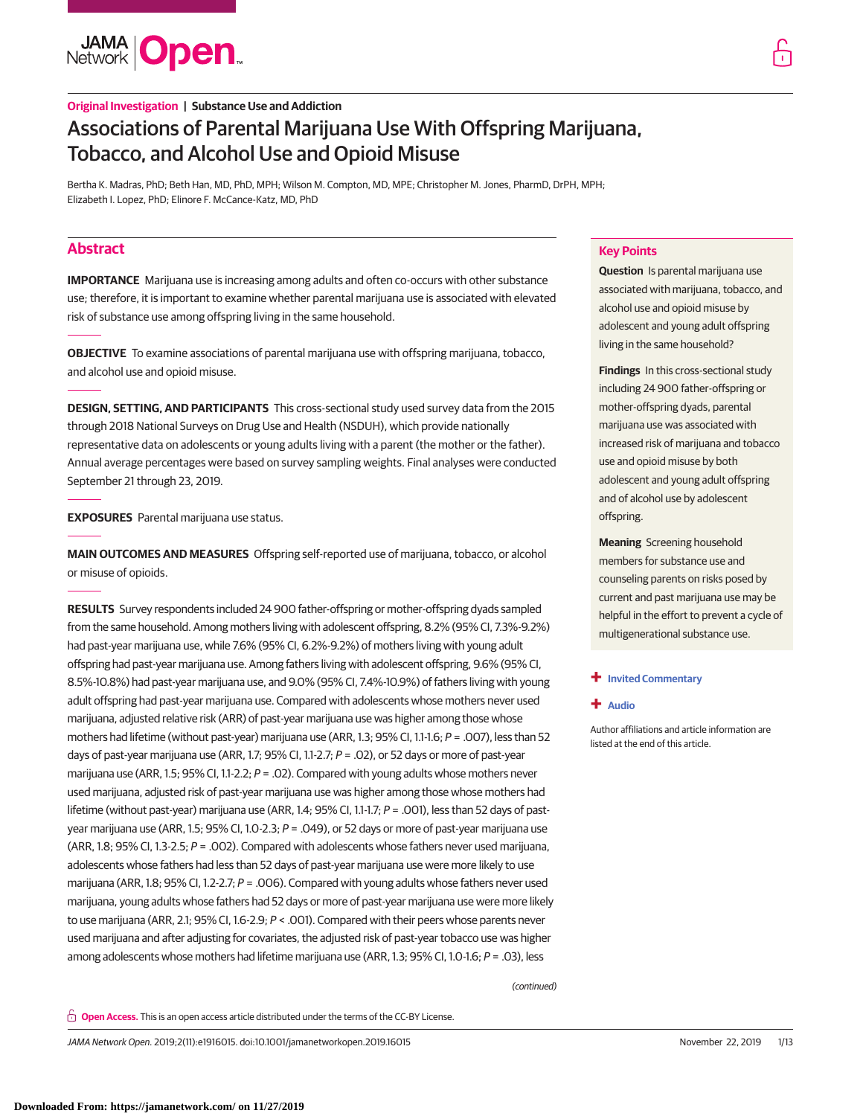

# Associations of Parental Marijuana Use With Offspring Marijuana, Tobacco, and Alcohol Use and Opioid Misuse

Bertha K. Madras, PhD; Beth Han, MD, PhD, MPH; Wilson M. Compton, MD, MPE; Christopher M. Jones, PharmD, DrPH, MPH; Elizabeth I. Lopez, PhD; Elinore F. McCance-Katz, MD, PhD

# **Abstract**

**IMPORTANCE** Marijuana use is increasing among adults and often co-occurs with other substance use; therefore, it is important to examine whether parental marijuana use is associated with elevated risk of substance use among offspring living in the same household.

**OBJECTIVE** To examine associations of parental marijuana use with offspring marijuana, tobacco, and alcohol use and opioid misuse.

**DESIGN, SETTING, AND PARTICIPANTS** This cross-sectional study used survey data from the 2015 through 2018 National Surveys on Drug Use and Health (NSDUH), which provide nationally representative data on adolescents or young adults living with a parent (the mother or the father). Annual average percentages were based on survey sampling weights. Final analyses were conducted September 21 through 23, 2019.

**EXPOSURES** Parental marijuana use status.

**MAIN OUTCOMES AND MEASURES** Offspring self-reported use of marijuana, tobacco, or alcohol or misuse of opioids.

**RESULTS** Survey respondents included 24 900 father-offspring or mother-offspring dyads sampled from the same household. Among mothers living with adolescent offspring, 8.2% (95% CI, 7.3%-9.2%) had past-year marijuana use, while 7.6% (95% CI, 6.2%-9.2%) of mothers living with young adult offspring had past-year marijuana use. Among fathers living with adolescent offspring, 9.6% (95% CI, 8.5%-10.8%) had past-year marijuana use, and 9.0% (95% CI, 7.4%-10.9%) of fathers living with young adult offspring had past-year marijuana use. Compared with adolescents whose mothers never used marijuana, adjusted relative risk (ARR) of past-year marijuana use was higher among those whose mothers had lifetime (without past-year) marijuana use (ARR, 1.3; 95% CI, 1.1-1.6; P = .007), less than 52 days of past-year marijuana use (ARR, 1.7; 95% CI, 1.1-2.7; P = .02), or 52 days or more of past-year marijuana use (ARR, 1.5; 95% CI, 1.1-2.2;  $P = .02$ ). Compared with young adults whose mothers never used marijuana, adjusted risk of past-year marijuana use was higher among those whose mothers had lifetime (without past-year) marijuana use (ARR, 1.4; 95% CI, 1.1-1.7; P = .001), less than 52 days of pastyear marijuana use (ARR, 1.5; 95% CI, 1.0-2.3;  $P = .049$ ), or 52 days or more of past-year marijuana use (ARR, 1.8; 95% CI, 1.3-2.5;  $P = .002$ ). Compared with adolescents whose fathers never used marijuana, adolescents whose fathers had less than 52 days of past-year marijuana use were more likely to use marijuana (ARR, 1.8; 95% CI, 1.2-2.7; P = .006). Compared with young adults whose fathers never used marijuana, young adults whose fathers had 52 days or more of past-year marijuana use were more likely to use marijuana (ARR, 2.1; 95% CI, 1.6-2.9; P < .001). Compared with their peers whose parents never used marijuana and after adjusting for covariates, the adjusted risk of past-year tobacco use was higher among adolescents whose mothers had lifetime marijuana use (ARR, 1.3; 95% CI, 1.0-1.6; P = .03), less

**Open Access.** This is an open access article distributed under the terms of the CC-BY License.

JAMA Network Open. 2019;2(11):e1916015. doi:10.1001/jamanetworkopen.2019.16015 (Reprinted) November 22, 2019 1/13

#### **Key Points**

**Question** Is parental marijuana use associated with marijuana, tobacco, and alcohol use and opioid misuse by adolescent and young adult offspring living in the same household?

**Findings** In this cross-sectional study including 24 900 father-offspring or mother-offspring dyads, parental marijuana use was associated with increased risk of marijuana and tobacco use and opioid misuse by both adolescent and young adult offspring and of alcohol use by adolescent offspring.

**Meaning** Screening household members for substance use and counseling parents on risks posed by current and past marijuana use may be helpful in the effort to prevent a cycle of multigenerational substance use.

#### **+ [Invited Commentary](https://jama.jamanetwork.com/article.aspx?doi=10.1001/jamanetworkopen.2019.16058&utm_campaign=articlePDF%26utm_medium=articlePDFlink%26utm_source=articlePDF%26utm_content=jamanetworkopen.2019.16015)**

#### **+ [Audio](https://jama.jamanetwork.com/article.aspx?doi=10.1001/jamanetworkopen.2019.16015&utm_campaign=articlePDF%26utm_medium=articlePDFlink%26utm_source=articlePDF%26utm_content=jamanetworkopen.2019.16015)**

(continued)

Author affiliations and article information are listed at the end of this article.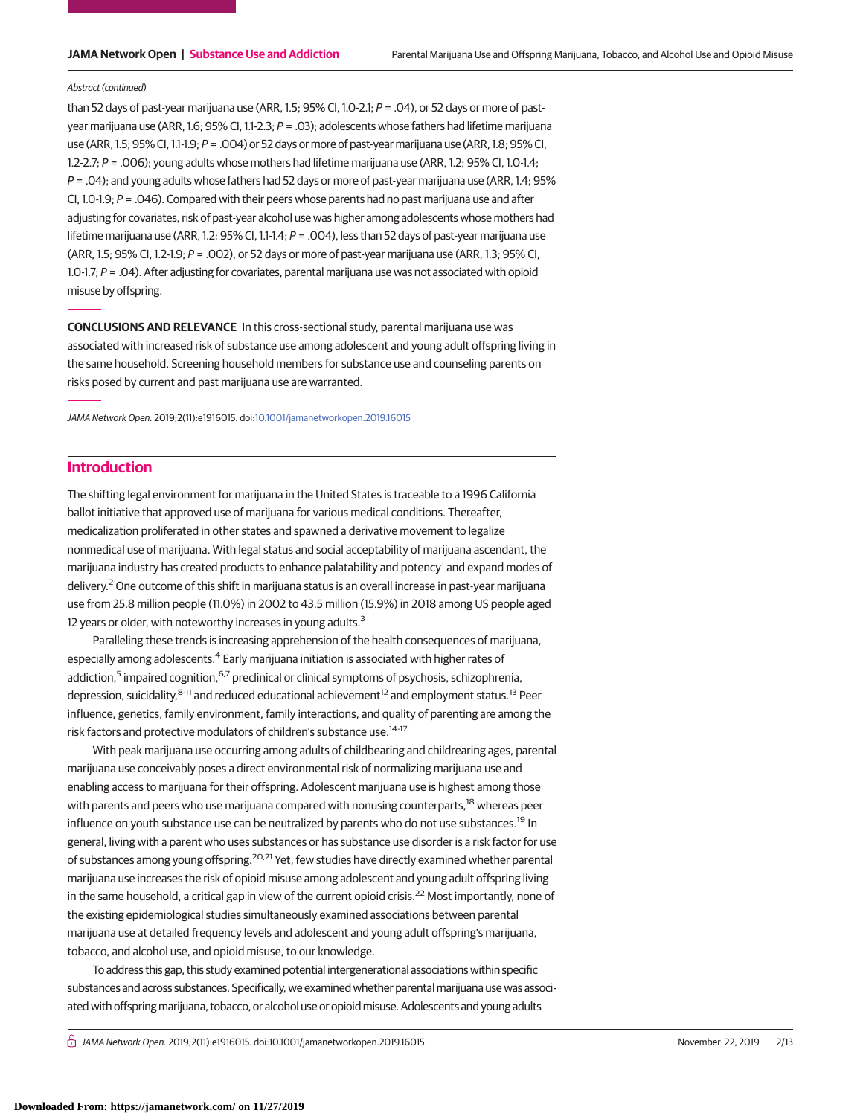#### Abstract (continued)

than 52 days of past-year marijuana use (ARR, 1.5; 95% CI, 1.0-2.1;  $P = .04$ ), or 52 days or more of pastyear marijuana use (ARR, 1.6; 95% CI, 1.1-2.3;  $P = .03$ ); adolescents whose fathers had lifetime marijuana use (ARR, 1.5; 95% CI, 1.1-1.9; P = .004) or 52 days or more of past-year marijuana use (ARR, 1.8; 95% CI, 1.2-2.7; P = .006); young adults whose mothers had lifetime marijuana use (ARR, 1.2; 95% CI, 1.0-1.4;  $P = .04$ ); and young adults whose fathers had 52 days or more of past-year marijuana use (ARR, 1.4; 95% CI, 1.0-1.9;  $P = .046$ ). Compared with their peers whose parents had no past marijuana use and after adjusting for covariates, risk of past-year alcohol use was higher among adolescents whose mothers had lifetime marijuana use (ARR, 1.2; 95% CI, 1.1-1.4;  $P = .004$ ), less than 52 days of past-year marijuana use (ARR, 1.5; 95% CI, 1.2-1.9; P = .002), or 52 days or more of past-year marijuana use (ARR, 1.3; 95% CI, 1.0-1.7;  $P = .04$ ). After adjusting for covariates, parental marijuana use was not associated with opioid misuse by offspring.

**CONCLUSIONS AND RELEVANCE** In this cross-sectional study, parental marijuana use was associated with increased risk of substance use among adolescent and young adult offspring living in the same household. Screening household members for substance use and counseling parents on risks posed by current and past marijuana use are warranted.

JAMA Network Open. 2019;2(11):e1916015. doi[:10.1001/jamanetworkopen.2019.16015](https://jama.jamanetwork.com/article.aspx?doi=10.1001/jamanetworkopen.2019.16015&utm_campaign=articlePDF%26utm_medium=articlePDFlink%26utm_source=articlePDF%26utm_content=jamanetworkopen.2019.16015)

# **Introduction**

The shifting legal environment for marijuana in the United States is traceable to a 1996 California ballot initiative that approved use of marijuana for various medical conditions. Thereafter, medicalization proliferated in other states and spawned a derivative movement to legalize nonmedical use of marijuana. With legal status and social acceptability of marijuana ascendant, the marijuana industry has created products to enhance palatability and potency<sup>1</sup> and expand modes of delivery.<sup>2</sup> One outcome of this shift in marijuana status is an overall increase in past-year marijuana use from 25.8 million people (11.0%) in 2002 to 43.5 million (15.9%) in 2018 among US people aged 12 years or older, with noteworthy increases in young adults. $3$ 

Paralleling these trends is increasing apprehension of the health consequences of marijuana, especially among adolescents.<sup>4</sup> Early marijuana initiation is associated with higher rates of addiction,<sup>5</sup> impaired cognition, $6.7$  preclinical or clinical symptoms of psychosis, schizophrenia, depression, suicidality,  $8-11$  and reduced educational achievement<sup>12</sup> and employment status.<sup>13</sup> Peer influence, genetics, family environment, family interactions, and quality of parenting are among the risk factors and protective modulators of children's substance use.<sup>14-17</sup>

With peak marijuana use occurring among adults of childbearing and childrearing ages, parental marijuana use conceivably poses a direct environmental risk of normalizing marijuana use and enabling access to marijuana for their offspring. Adolescent marijuana use is highest among those with parents and peers who use marijuana compared with nonusing counterparts,<sup>18</sup> whereas peer influence on youth substance use can be neutralized by parents who do not use substances.<sup>19</sup> In general, living with a parent who uses substances or has substance use disorder is a risk factor for use of substances among young offspring.<sup>20,21</sup> Yet, few studies have directly examined whether parental marijuana use increases the risk of opioid misuse among adolescent and young adult offspring living in the same household, a critical gap in view of the current opioid crisis.<sup>22</sup> Most importantly, none of the existing epidemiological studies simultaneously examined associations between parental marijuana use at detailed frequency levels and adolescent and young adult offspring's marijuana, tobacco, and alcohol use, and opioid misuse, to our knowledge.

To address this gap, this study examined potential intergenerational associations within specific substances and across substances. Specifically, we examined whether parental marijuana use was associated with offspring marijuana, tobacco, or alcohol use or opioid misuse. Adolescents and young adults

 $\bigcap$  JAMA Network Open. 2019;2(11):e1916015. doi:10.1001/jamanetworkopen.2019.16015 (Reprinted) November 22, 2019 2/13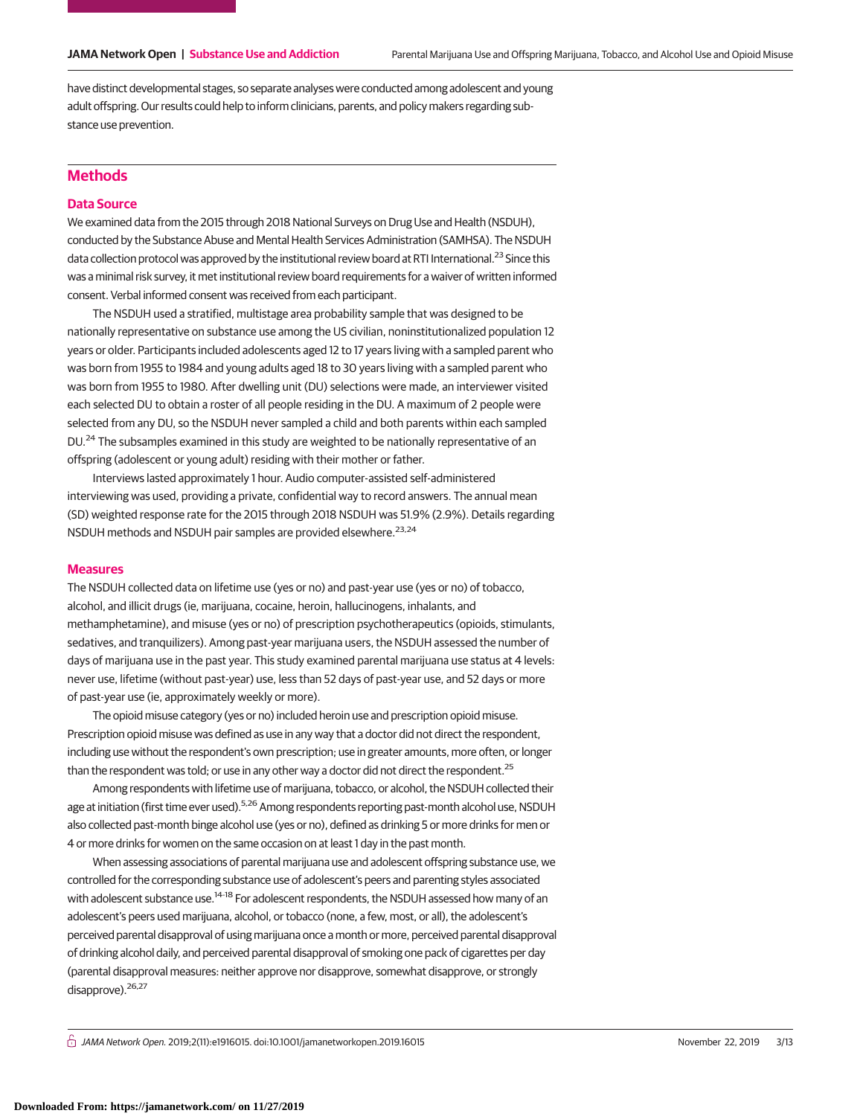have distinct developmental stages, so separate analyses were conducted among adolescent and young adult offspring. Our results could help to inform clinicians, parents, and policy makers regarding substance use prevention.

### **Methods**

#### **Data Source**

We examined data from the 2015 through 2018 National Surveys on Drug Use and Health (NSDUH), conducted by the Substance Abuse and Mental Health Services Administration (SAMHSA). The NSDUH data collection protocol was approved by the institutional review board at RTI International.<sup>23</sup> Since this was a minimal risk survey, it met institutional review board requirements for a waiver of written informed consent. Verbal informed consent was received from each participant.

The NSDUH used a stratified, multistage area probability sample that was designed to be nationally representative on substance use among the US civilian, noninstitutionalized population 12 years or older. Participants included adolescents aged 12 to 17 years living with a sampled parent who was born from 1955 to 1984 and young adults aged 18 to 30 years living with a sampled parent who was born from 1955 to 1980. After dwelling unit (DU) selections were made, an interviewer visited each selected DU to obtain a roster of all people residing in the DU. A maximum of 2 people were selected from any DU, so the NSDUH never sampled a child and both parents within each sampled DU.<sup>24</sup> The subsamples examined in this study are weighted to be nationally representative of an offspring (adolescent or young adult) residing with their mother or father.

Interviews lasted approximately 1 hour. Audio computer-assisted self-administered interviewing was used, providing a private, confidential way to record answers. The annual mean (SD) weighted response rate for the 2015 through 2018 NSDUH was 51.9% (2.9%). Details regarding NSDUH methods and NSDUH pair samples are provided elsewhere.<sup>23,24</sup>

#### **Measures**

The NSDUH collected data on lifetime use (yes or no) and past-year use (yes or no) of tobacco, alcohol, and illicit drugs (ie, marijuana, cocaine, heroin, hallucinogens, inhalants, and methamphetamine), and misuse (yes or no) of prescription psychotherapeutics (opioids, stimulants, sedatives, and tranquilizers). Among past-year marijuana users, the NSDUH assessed the number of days of marijuana use in the past year. This study examined parental marijuana use status at 4 levels: never use, lifetime (without past-year) use, less than 52 days of past-year use, and 52 days or more of past-year use (ie, approximately weekly or more).

The opioid misuse category (yes or no) included heroin use and prescription opioid misuse. Prescription opioid misuse was defined as use in any way that a doctor did not direct the respondent, including use without the respondent's own prescription; use in greater amounts, more often, or longer than the respondent was told; or use in any other way a doctor did not direct the respondent.<sup>25</sup>

Among respondents with lifetime use of marijuana, tobacco, or alcohol, the NSDUH collected their age at initiation (first time ever used).<sup>5,26</sup> Among respondents reporting past-month alcohol use, NSDUH also collected past-month binge alcohol use (yes or no), defined as drinking 5 or more drinks for men or 4 or more drinks for women on the same occasion on at least 1 day in the past month.

When assessing associations of parental marijuana use and adolescent offspring substance use, we controlled for the corresponding substance use of adolescent's peers and parenting styles associated with adolescent substance use.<sup>14-18</sup> For adolescent respondents, the NSDUH assessed how many of an adolescent's peers used marijuana, alcohol, or tobacco (none, a few, most, or all), the adolescent's perceived parental disapproval of using marijuana once a month or more, perceived parental disapproval of drinking alcohol daily, and perceived parental disapproval of smoking one pack of cigarettes per day (parental disapproval measures: neither approve nor disapprove, somewhat disapprove, or strongly disapprove).<sup>26,27</sup>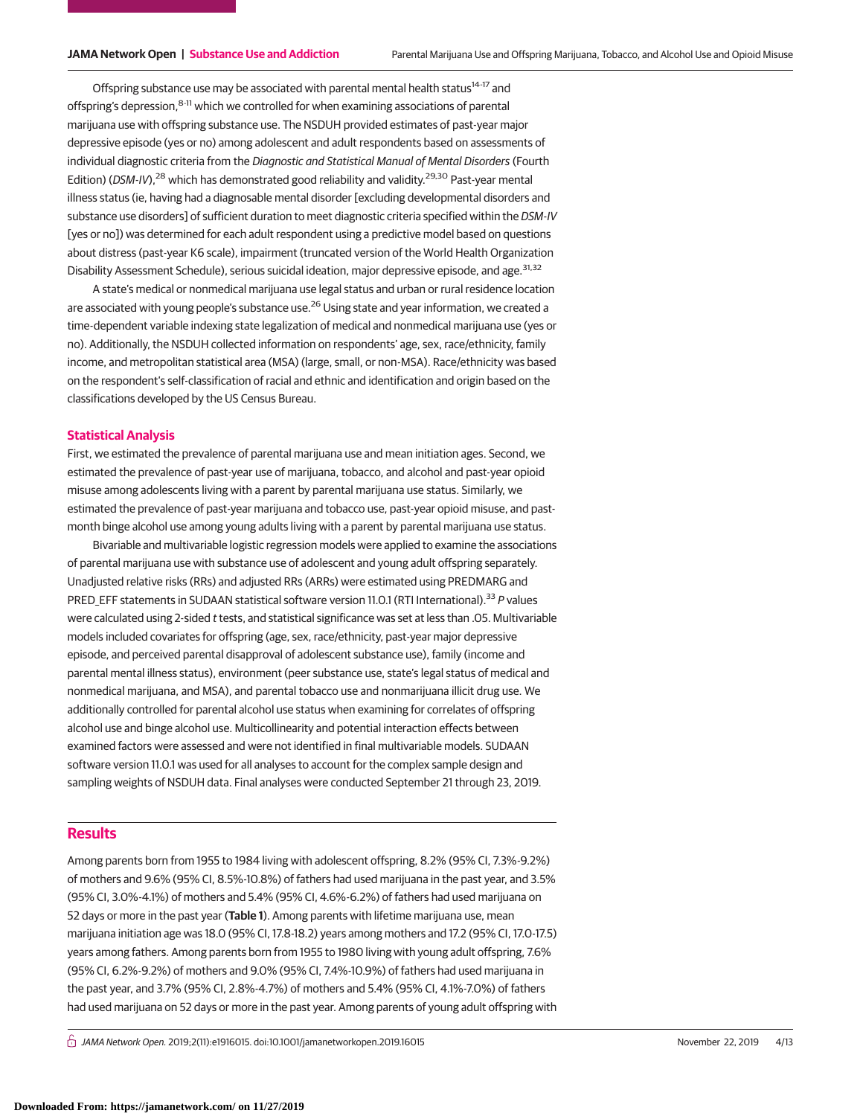Offspring substance use may be associated with parental mental health status<sup>14-17</sup> and offspring's depression, <sup>8-11</sup> which we controlled for when examining associations of parental marijuana use with offspring substance use. The NSDUH provided estimates of past-year major depressive episode (yes or no) among adolescent and adult respondents based on assessments of individual diagnostic criteria from the Diagnostic and Statistical Manual of Mental Disorders (Fourth Edition) (DSM-IV),<sup>28</sup> which has demonstrated good reliability and validity.<sup>29,30</sup> Past-year mental illness status (ie, having had a diagnosable mental disorder [excluding developmental disorders and substance use disorders] of sufficient duration to meet diagnostic criteria specified within the DSM-IV [yes or no]) was determined for each adult respondent using a predictive model based on questions about distress (past-year K6 scale), impairment (truncated version of the World Health Organization Disability Assessment Schedule), serious suicidal ideation, major depressive episode, and age.<sup>31,32</sup>

A state's medical or nonmedical marijuana use legal status and urban or rural residence location are associated with young people's substance use.<sup>26</sup> Using state and year information, we created a time-dependent variable indexing state legalization of medical and nonmedical marijuana use (yes or no). Additionally, the NSDUH collected information on respondents' age, sex, race/ethnicity, family income, and metropolitan statistical area (MSA) (large, small, or non-MSA). Race/ethnicity was based on the respondent's self-classification of racial and ethnic and identification and origin based on the classifications developed by the US Census Bureau.

#### **Statistical Analysis**

First, we estimated the prevalence of parental marijuana use and mean initiation ages. Second, we estimated the prevalence of past-year use of marijuana, tobacco, and alcohol and past-year opioid misuse among adolescents living with a parent by parental marijuana use status. Similarly, we estimated the prevalence of past-year marijuana and tobacco use, past-year opioid misuse, and pastmonth binge alcohol use among young adults living with a parent by parental marijuana use status.

Bivariable and multivariable logistic regression models were applied to examine the associations of parental marijuana use with substance use of adolescent and young adult offspring separately. Unadjusted relative risks (RRs) and adjusted RRs (ARRs) were estimated using PREDMARG and PRED\_EFF statements in SUDAAN statistical software version 11.0.1 (RTI International).<sup>33</sup> P values were calculated using 2-sided t tests, and statistical significance was set at less than .05. Multivariable models included covariates for offspring (age, sex, race/ethnicity, past-year major depressive episode, and perceived parental disapproval of adolescent substance use), family (income and parental mental illness status), environment (peer substance use, state's legal status of medical and nonmedical marijuana, and MSA), and parental tobacco use and nonmarijuana illicit drug use. We additionally controlled for parental alcohol use status when examining for correlates of offspring alcohol use and binge alcohol use. Multicollinearity and potential interaction effects between examined factors were assessed and were not identified in final multivariable models. SUDAAN software version 11.0.1 was used for all analyses to account for the complex sample design and sampling weights of NSDUH data. Final analyses were conducted September 21 through 23, 2019.

#### **Results**

Among parents born from 1955 to 1984 living with adolescent offspring, 8.2% (95% CI, 7.3%-9.2%) of mothers and 9.6% (95% CI, 8.5%-10.8%) of fathers had used marijuana in the past year, and 3.5% (95% CI, 3.0%-4.1%) of mothers and 5.4% (95% CI, 4.6%-6.2%) of fathers had used marijuana on 52 days or more in the past year (**Table 1**). Among parents with lifetime marijuana use, mean marijuana initiation age was 18.0 (95% CI, 17.8-18.2) years among mothers and 17.2 (95% CI, 17.0-17.5) years among fathers. Among parents born from 1955 to 1980 living with young adult offspring, 7.6% (95% CI, 6.2%-9.2%) of mothers and 9.0% (95% CI, 7.4%-10.9%) of fathers had used marijuana in the past year, and 3.7% (95% CI, 2.8%-4.7%) of mothers and 5.4% (95% CI, 4.1%-7.0%) of fathers had used marijuana on 52 days or more in the past year. Among parents of young adult offspring with

 $\bigcap$  JAMA Network Open. 2019;2(11):e1916015. doi:10.1001/jamanetworkopen.2019.16015 (Reprinted) November 22, 2019 4/13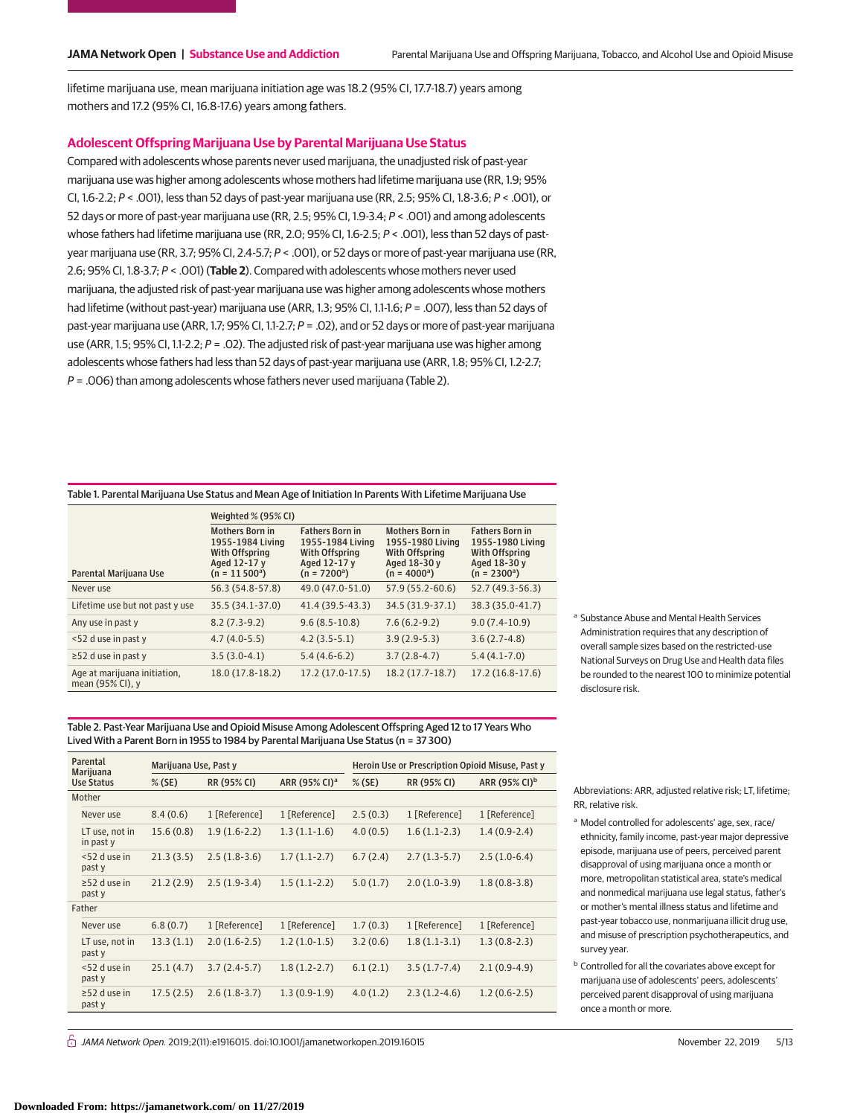lifetime marijuana use, mean marijuana initiation age was 18.2 (95% CI, 17.7-18.7) years among mothers and 17.2 (95% CI, 16.8-17.6) years among fathers.

#### **Adolescent Offspring Marijuana Use by Parental Marijuana Use Status**

Compared with adolescents whose parents never used marijuana, the unadjusted risk of past-year marijuana use was higher among adolescents whose mothers had lifetime marijuana use (RR, 1.9; 95% CI, 1.6-2.2;  $P <$  .001), less than 52 days of past-year marijuana use (RR, 2.5; 95% CI, 1.8-3.6;  $P <$  .001), or 52 days or more of past-year marijuana use (RR, 2.5; 95% CI, 1.9-3.4; P < .001) and among adolescents whose fathers had lifetime marijuana use (RR, 2.0; 95% CI, 1.6-2.5; P < .001), less than 52 days of pastyear marijuana use (RR, 3.7; 95% CI, 2.4-5.7; P < .001), or 52 days or more of past-year marijuana use (RR, 2.6; 95% CI, 1.8-3.7; P < .001) (**Table 2**). Compared with adolescents whose mothers never used marijuana, the adjusted risk of past-year marijuana use was higher among adolescents whose mothers had lifetime (without past-year) marijuana use (ARR, 1.3; 95% CI, 1.1-1.6; P = .007), less than 52 days of past-year marijuana use (ARR, 1.7; 95% CI, 1.1-2.7; P = .02), and or 52 days or more of past-year marijuana use (ARR, 1.5; 95% CI, 1.1-2.2;  $P = .02$ ). The adjusted risk of past-year marijuana use was higher among adolescents whose fathers had less than 52 days of past-year marijuana use (ARR, 1.8; 95% CI, 1.2-2.7;  $P = .006$ ) than among adolescents whose fathers never used marijuana (Table 2).

Table 1. Parental Marijuana Use Status and Mean Age of Initiation In Parents With Lifetime Marijuana Use

| Parental Marijuana Use                           | <b>Mothers Born in</b><br>1955-1984 Living<br>With Offspring<br>Aged 12-17 y<br>$(n = 11500^{\circ})$ | <b>Fathers Born in</b><br>1955-1984 Living<br>With Offspring<br>Aged 12-17 y<br>$(n = 7200^{\circ})$ | <b>Mothers Born in</b><br>1955-1980 Living<br><b>With Offspring</b><br>Aged 18-30 y<br>$(n = 4000^a)$ | <b>Fathers Born in</b><br>1955-1980 Living<br>With Offspring<br>Aged 18-30 y<br>$(n = 2300^a)$ |
|--------------------------------------------------|-------------------------------------------------------------------------------------------------------|------------------------------------------------------------------------------------------------------|-------------------------------------------------------------------------------------------------------|------------------------------------------------------------------------------------------------|
| Never use                                        | 56.3 (54.8-57.8)                                                                                      | 49.0 (47.0-51.0)                                                                                     | 57.9 (55.2-60.6)                                                                                      | 52.7 (49.3-56.3)                                                                               |
| Lifetime use but not past y use                  | 35.5 (34.1-37.0)                                                                                      | 41.4 (39.5-43.3)                                                                                     | 34.5 (31.9-37.1)                                                                                      | 38.3 (35.0-41.7)                                                                               |
| Any use in past y                                | $8.2(7.3-9.2)$                                                                                        | $9.6(8.5-10.8)$                                                                                      | $7.6(6.2-9.2)$                                                                                        | $9.0(7.4-10.9)$                                                                                |
| $<$ 52 d use in past y                           | $4.7(4.0-5.5)$                                                                                        | $4.2(3.5-5.1)$                                                                                       | $3.9(2.9-5.3)$                                                                                        | $3.6(2.7-4.8)$                                                                                 |
| $\geq$ 52 d use in past y                        | $3.5(3.0-4.1)$                                                                                        | $5.4(4.6-6.2)$                                                                                       | $3.7(2.8-4.7)$                                                                                        | $5.4(4.1-7.0)$                                                                                 |
| Age at marijuana initiation,<br>mean (95% CI), y | 18.0 (17.8-18.2)                                                                                      | $17.2(17.0-17.5)$                                                                                    | 18.2 (17.7-18.7)                                                                                      | 17.2 (16.8-17.6)                                                                               |

<sup>a</sup> Substance Abuse and Mental Health Services Administration requires that any description of overall sample sizes based on the restricted-use National Surveys on Drug Use and Health data files be rounded to the nearest 100 to minimize potential disclosure risk.

Table 2. Past-Year Marijuana Use and Opioid Misuse Among Adolescent Offspring Aged 12 to 17 Years Who Lived With a Parent Born in 1955 to 1984 by Parental Marijuana Use Status (n = 37 300)

| Parental<br>Marijuana<br>Use Status |                              | Marijuana Use, Past y |                |                              | Heroin Use or Prescription Opioid Misuse, Past y |                |                           |  |
|-------------------------------------|------------------------------|-----------------------|----------------|------------------------------|--------------------------------------------------|----------------|---------------------------|--|
|                                     |                              | $%$ (SE)              | RR (95% CI)    | ARR $(95\%$ CI) <sup>a</sup> | $%$ (SE)                                         | RR (95% CI)    | ARR (95% CI) <sup>b</sup> |  |
|                                     | Mother                       |                       |                |                              |                                                  |                |                           |  |
|                                     | Never use                    | 8.4(0.6)              | 1 [Reference]  | 1 [Reference]                | 2.5(0.3)                                         | 1 [Reference]  | 1 [Reference]             |  |
|                                     | LT use, not in<br>in past y  | 15.6(0.8)             | $1.9(1.6-2.2)$ | $1.3(1.1-1.6)$               | 4.0(0.5)                                         | $1.6(1.1-2.3)$ | $1.4(0.9-2.4)$            |  |
|                                     | <52 d use in<br>past y       | 21.3(3.5)             | $2.5(1.8-3.6)$ | $1.7(1.1-2.7)$               | 6.7(2.4)                                         | $2.7(1.3-5.7)$ | $2.5(1.0-6.4)$            |  |
|                                     | $\geq$ 52 d use in<br>past y | 21.2(2.9)             | $2.5(1.9-3.4)$ | $1.5(1.1-2.2)$               | 5.0(1.7)                                         | $2.0(1.0-3.9)$ | $1.8(0.8-3.8)$            |  |
| Father                              |                              |                       |                |                              |                                                  |                |                           |  |
|                                     | Never use                    | 6.8(0.7)              | 1 [Reference]  | 1 [Reference]                | 1.7(0.3)                                         | 1 [Reference]  | 1 [Reference]             |  |
|                                     | LT use, not in<br>past y     | 13.3(1.1)             | $2.0(1.6-2.5)$ | $1.2(1.0-1.5)$               | 3.2(0.6)                                         | $1.8(1.1-3.1)$ | $1.3(0.8-2.3)$            |  |
|                                     | <52 d use in<br>past y       | 25.1(4.7)             | $3.7(2.4-5.7)$ | $1.8(1.2-2.7)$               | 6.1(2.1)                                         | $3.5(1.7-7.4)$ | $2.1(0.9-4.9)$            |  |
|                                     | $\geq$ 52 d use in<br>past y | 17.5(2.5)             | $2.6(1.8-3.7)$ | $1.3(0.9-1.9)$               | 4.0(1.2)                                         | $2.3(1.2-4.6)$ | $1.2(0.6-2.5)$            |  |

 $\stackrel{\curvearrowright}{\cap}$  JAMA Network Open. 2019;2(11):e1916015. doi:10.1001/jamanetworkopen.2019.16015 (Reprinted) November 22, 2019 5/13

Abbreviations: ARR, adjusted relative risk; LT, lifetime; RR, relative risk.

- <sup>a</sup> Model controlled for adolescents' age, sex, race/ ethnicity, family income, past-year major depressive episode, marijuana use of peers, perceived parent disapproval of using marijuana once a month or more, metropolitan statistical area, state's medical and nonmedical marijuana use legal status, father's or mother's mental illness status and lifetime and past-year tobacco use, nonmarijuana illicit drug use, and misuse of prescription psychotherapeutics, and survey year.
- **b** Controlled for all the covariates above except for marijuana use of adolescents' peers, adolescents' perceived parent disapproval of using marijuana once a month or more.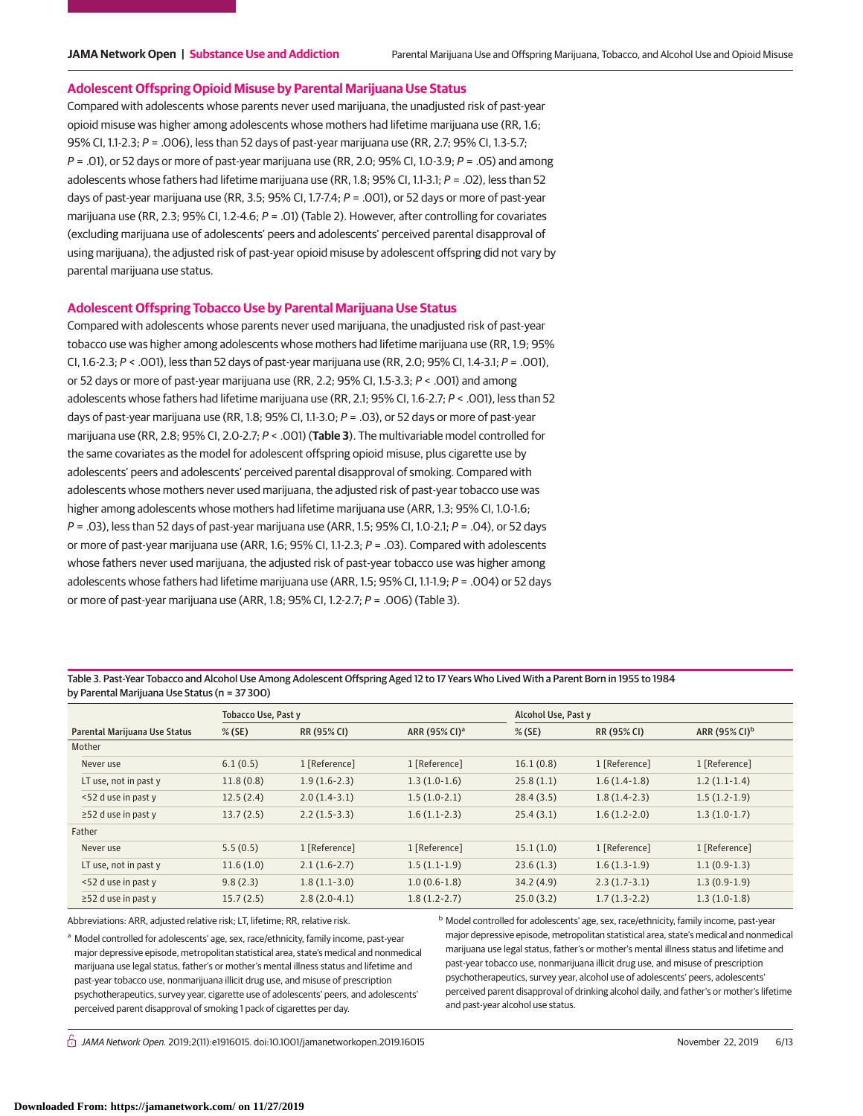#### **Adolescent Offspring Opioid Misuse by Parental Marijuana Use Status**

Compared with adolescents whose parents never used marijuana, the unadjusted risk of past-year opioid misuse was higher among adolescents whose mothers had lifetime marijuana use (RR, 1.6; 95% CI, 1.1-2.3; P = .006), less than 52 days of past-year marijuana use (RR, 2.7; 95% CI, 1.3-5.7;  $P = .01$ ), or 52 days or more of past-year marijuana use (RR, 2.0; 95% CI, 1.0-3.9; P = .05) and among adolescents whose fathers had lifetime marijuana use (RR, 1.8; 95% CI, 1.1-3.1; P = .02), less than 52 days of past-year marijuana use (RR, 3.5; 95% CI, 1.7-7.4; P = .001), or 52 days or more of past-year marijuana use (RR, 2.3; 95% CI, 1.2-4.6;  $P = .01$ ) (Table 2). However, after controlling for covariates (excluding marijuana use of adolescents' peers and adolescents' perceived parental disapproval of using marijuana), the adjusted risk of past-year opioid misuse by adolescent offspring did not vary by parental marijuana use status.

#### **Adolescent Offspring Tobacco Use by Parental Marijuana Use Status**

Compared with adolescents whose parents never used marijuana, the unadjusted risk of past-year tobacco use was higher among adolescents whose mothers had lifetime marijuana use (RR, 1.9; 95% CI, 1.6-2.3; P < .001), less than 52 days of past-year marijuana use (RR, 2.0; 95% CI, 1.4-3.1; P = .001), or 52 days or more of past-year marijuana use (RR, 2.2; 95% CI, 1.5-3.3; P < .001) and among adolescents whose fathers had lifetime marijuana use (RR, 2.1; 95% CI, 1.6-2.7; P < .001), less than 52 days of past-year marijuana use (RR, 1.8; 95% CI, 1.1-3.0;  $P = .03$ ), or 52 days or more of past-year marijuana use (RR, 2.8; 95% CI, 2.0-2.7; P < .001) (**Table 3**). The multivariable model controlled for the same covariates as the model for adolescent offspring opioid misuse, plus cigarette use by adolescents' peers and adolescents' perceived parental disapproval of smoking. Compared with adolescents whose mothers never used marijuana, the adjusted risk of past-year tobacco use was higher among adolescents whose mothers had lifetime marijuana use (ARR, 1.3; 95% CI, 1.0-1.6; P = .03), less than 52 days of past-year marijuana use (ARR, 1.5; 95% CI, 1.0-2.1; P = .04), or 52 days or more of past-year marijuana use (ARR, 1.6; 95% CI, 1.1-2.3;  $P = .03$ ). Compared with adolescents whose fathers never used marijuana, the adjusted risk of past-year tobacco use was higher among adolescents whose fathers had lifetime marijuana use (ARR, 1.5; 95% CI, 1.1-1.9; P = .004) or 52 days or more of past-year marijuana use (ARR, 1.8; 95% CI, 1.2-2.7; P = .006) (Table 3).

Table 3. Past-Year Tobacco and Alcohol Use Among Adolescent Offspring Aged 12 to 17 Years Who Lived With a Parent Born in 1955 to 1984 by Parental Marijuana Use Status (n = 37 300)

|                               | Tobacco Use, Past y |                |                              | Alcohol Use, Past y |                |                           |
|-------------------------------|---------------------|----------------|------------------------------|---------------------|----------------|---------------------------|
| Parental Marijuana Use Status | $%$ (SE)            | RR (95% CI)    | ARR $(95\%$ CI) <sup>a</sup> | $%$ (SE)            | RR (95% CI)    | ARR (95% CI) <sup>b</sup> |
| Mother                        |                     |                |                              |                     |                |                           |
| Never use                     | 6.1(0.5)            | 1 [Reference]  | 1 [Reference]                | 16.1(0.8)           | 1 [Reference]  | 1 [Reference]             |
| LT use, not in past $y$       | 11.8(0.8)           | $1.9(1.6-2.3)$ | $1.3(1.0-1.6)$               | 25.8(1.1)           | $1.6(1.4-1.8)$ | $1.2(1.1-1.4)$            |
| $<$ 52 d use in past y        | 12.5(2.4)           | $2.0(1.4-3.1)$ | $1.5(1.0-2.1)$               | 28.4(3.5)           | $1.8(1.4-2.3)$ | $1.5(1.2-1.9)$            |
| $\ge$ 52 d use in past y      | 13.7(2.5)           | $2.2(1.5-3.3)$ | $1.6(1.1-2.3)$               | 25.4(3.1)           | $1.6(1.2-2.0)$ | $1.3(1.0-1.7)$            |
| Father                        |                     |                |                              |                     |                |                           |
| Never use                     | 5.5(0.5)            | 1 [Reference]  | 1 [Reference]                | 15.1(1.0)           | 1 [Reference]  | 1 [Reference]             |
| LT use, not in past y         | 11.6(1.0)           | $2.1(1.6-2.7)$ | $1.5(1.1-1.9)$               | 23.6(1.3)           | $1.6(1.3-1.9)$ | $1.1(0.9-1.3)$            |
| $<$ 52 d use in past y        | 9.8(2.3)            | $1.8(1.1-3.0)$ | $1.0(0.6-1.8)$               | 34.2(4.9)           | $2.3(1.7-3.1)$ | $1.3(0.9-1.9)$            |
| $\ge$ 52 d use in past y      | 15.7(2.5)           | $2.8(2.0-4.1)$ | $1.8(1.2-2.7)$               | 25.0(3.2)           | $1.7(1.3-2.2)$ | $1.3(1.0-1.8)$            |

Abbreviations: ARR, adjusted relative risk; LT, lifetime; RR, relative risk.

<sup>a</sup> Model controlled for adolescents' age, sex, race/ethnicity, family income, past-year major depressive episode, metropolitan statistical area, state's medical and nonmedical marijuana use legal status, father's or mother's mental illness status and lifetime and past-year tobacco use, nonmarijuana illicit drug use, and misuse of prescription psychotherapeutics, survey year, cigarette use of adolescents' peers, and adolescents' perceived parent disapproval of smoking 1 pack of cigarettes per day.

<sup>b</sup> Model controlled for adolescents' age, sex, race/ethnicity, family income, past-year major depressive episode, metropolitan statistical area, state's medical and nonmedical marijuana use legal status, father's or mother's mental illness status and lifetime and past-year tobacco use, nonmarijuana illicit drug use, and misuse of prescription psychotherapeutics, survey year, alcohol use of adolescents' peers, adolescents' perceived parent disapproval of drinking alcohol daily, and father's or mother's lifetime and past-year alcohol use status.

 $\stackrel{\curvearrowright}{\cap}$  JAMA Network Open. 2019;2(11):e1916015. doi:10.1001/jamanetworkopen.2019.16015 (Reprinted) November 22, 2019 6/13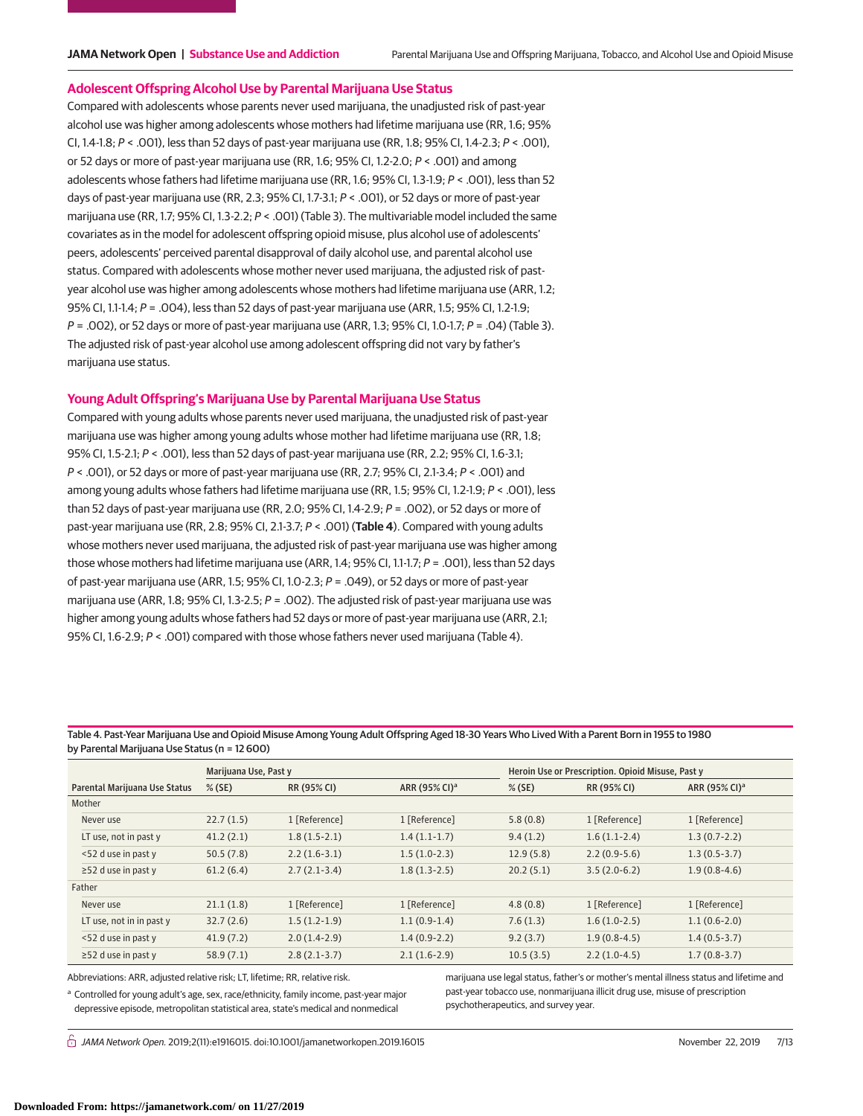#### **Adolescent Offspring Alcohol Use by Parental Marijuana Use Status**

Compared with adolescents whose parents never used marijuana, the unadjusted risk of past-year alcohol use was higher among adolescents whose mothers had lifetime marijuana use (RR, 1.6; 95% CI, 1.4-1.8;  $P <$  .001), less than 52 days of past-year marijuana use (RR, 1.8; 95% CI, 1.4-2.3;  $P <$  .001), or 52 days or more of past-year marijuana use (RR, 1.6; 95% CI, 1.2-2.0; P < .001) and among adolescents whose fathers had lifetime marijuana use (RR, 1.6; 95% CI, 1.3-1.9; P < .001), less than 52 days of past-year marijuana use (RR, 2.3; 95% CI, 1.7-3.1; P < .001), or 52 days or more of past-year marijuana use (RR, 1.7; 95% CI, 1.3-2.2; P < .001) (Table 3). The multivariable model included the same covariates as in the model for adolescent offspring opioid misuse, plus alcohol use of adolescents' peers, adolescents' perceived parental disapproval of daily alcohol use, and parental alcohol use status. Compared with adolescents whose mother never used marijuana, the adjusted risk of pastyear alcohol use was higher among adolescents whose mothers had lifetime marijuana use (ARR, 1.2; 95% CI, 1.1-1.4; P = .004), less than 52 days of past-year marijuana use (ARR, 1.5; 95% CI, 1.2-1.9; P = .002), or 52 days or more of past-year marijuana use (ARR, 1.3; 95% CI, 1.0-1.7; P = .04) (Table 3). The adjusted risk of past-year alcohol use among adolescent offspring did not vary by father's marijuana use status.

#### **Young Adult Offspring's Marijuana Use by Parental Marijuana Use Status**

Compared with young adults whose parents never used marijuana, the unadjusted risk of past-year marijuana use was higher among young adults whose mother had lifetime marijuana use (RR, 1.8; 95% CI, 1.5-2.1; P < .001), less than 52 days of past-year marijuana use (RR, 2.2; 95% CI, 1.6-3.1; P < .001), or 52 days or more of past-year marijuana use (RR, 2.7; 95% CI, 2.1-3.4; P < .001) and among young adults whose fathers had lifetime marijuana use (RR, 1.5; 95% CI, 1.2-1.9; P < .001), less than 52 days of past-year marijuana use (RR, 2.0; 95% CI, 1.4-2.9; P = .002), or 52 days or more of past-year marijuana use (RR, 2.8; 95% CI, 2.1-3.7; P < .001) (**Table 4**). Compared with young adults whose mothers never used marijuana, the adjusted risk of past-year marijuana use was higher among those whose mothers had lifetime marijuana use (ARR, 1.4; 95% CI, 1.1-1.7; P = .001), less than 52 days of past-year marijuana use (ARR, 1.5; 95% CI, 1.0-2.3;  $P = .049$ ), or 52 days or more of past-year marijuana use (ARR, 1.8; 95% CI, 1.3-2.5; P = .002). The adjusted risk of past-year marijuana use was higher among young adults whose fathers had 52 days or more of past-year marijuana use (ARR, 2.1; 95% CI, 1.6-2.9; P < .001) compared with those whose fathers never used marijuana (Table 4).

Table 4. Past-Year Marijuana Use and Opioid Misuse Among Young Adult Offspring Aged 18-30 Years Who Lived With a Parent Born in 1955 to 1980 by Parental Marijuana Use Status (n = 12 600)

|                               | Marijuana Use, Past y |                |                           | Heroin Use or Prescription. Opioid Misuse, Past y |                |                           |  |
|-------------------------------|-----------------------|----------------|---------------------------|---------------------------------------------------|----------------|---------------------------|--|
| Parental Marijuana Use Status | $%$ (SE)              | RR (95% CI)    | ARR (95% CI) <sup>a</sup> | $%$ (SE)                                          | RR (95% CI)    | ARR (95% CI) <sup>a</sup> |  |
| Mother                        |                       |                |                           |                                                   |                |                           |  |
| Never use                     | 22.7(1.5)             | 1 [Reference]  | 1 [Reference]             | 5.8(0.8)                                          | 1 [Reference]  | 1 [Reference]             |  |
| LT use, not in past y         | 41.2(2.1)             | $1.8(1.5-2.1)$ | $1.4(1.1-1.7)$            | 9.4(1.2)                                          | $1.6(1.1-2.4)$ | $1.3(0.7-2.2)$            |  |
| $<$ 52 d use in past y        | 50.5(7.8)             | $2.2(1.6-3.1)$ | $1.5(1.0-2.3)$            | 12.9(5.8)                                         | $2.2(0.9-5.6)$ | $1.3(0.5-3.7)$            |  |
| $\ge$ 52 d use in past y      | 61.2(6.4)             | $2.7(2.1-3.4)$ | $1.8(1.3-2.5)$            | 20.2(5.1)                                         | $3.5(2.0-6.2)$ | $1.9(0.8-4.6)$            |  |
| Father                        |                       |                |                           |                                                   |                |                           |  |
| Never use                     | 21.1(1.8)             | 1 [Reference]  | 1 [Reference]             | 4.8(0.8)                                          | 1 [Reference]  | 1 [Reference]             |  |
| LT use, not in in past y      | 32.7(2.6)             | $1.5(1.2-1.9)$ | $1.1(0.9-1.4)$            | 7.6(1.3)                                          | $1.6(1.0-2.5)$ | $1.1(0.6-2.0)$            |  |
| $<$ 52 d use in past y        | 41.9(7.2)             | $2.0(1.4-2.9)$ | $1.4(0.9-2.2)$            | 9.2(3.7)                                          | $1.9(0.8-4.5)$ | $1.4(0.5-3.7)$            |  |
| $\ge$ 52 d use in past y      | 58.9(7.1)             | $2.8(2.1-3.7)$ | $2.1(1.6-2.9)$            | 10.5(3.5)                                         | $2.2(1.0-4.5)$ | $1.7(0.8-3.7)$            |  |

Abbreviations: ARR, adjusted relative risk; LT, lifetime; RR, relative risk.

a Controlled for young adult's age, sex, race/ethnicity, family income, past-year major depressive episode, metropolitan statistical area, state's medical and nonmedical

marijuana use legal status, father's or mother's mental illness status and lifetime and past-year tobacco use, nonmarijuana illicit drug use, misuse of prescription psychotherapeutics, and survey year.

 $\bigcap$  JAMA Network Open. 2019;2(11):e1916015. doi:10.1001/jamanetworkopen.2019.16015 (Reprinted) November 22, 2019 7/13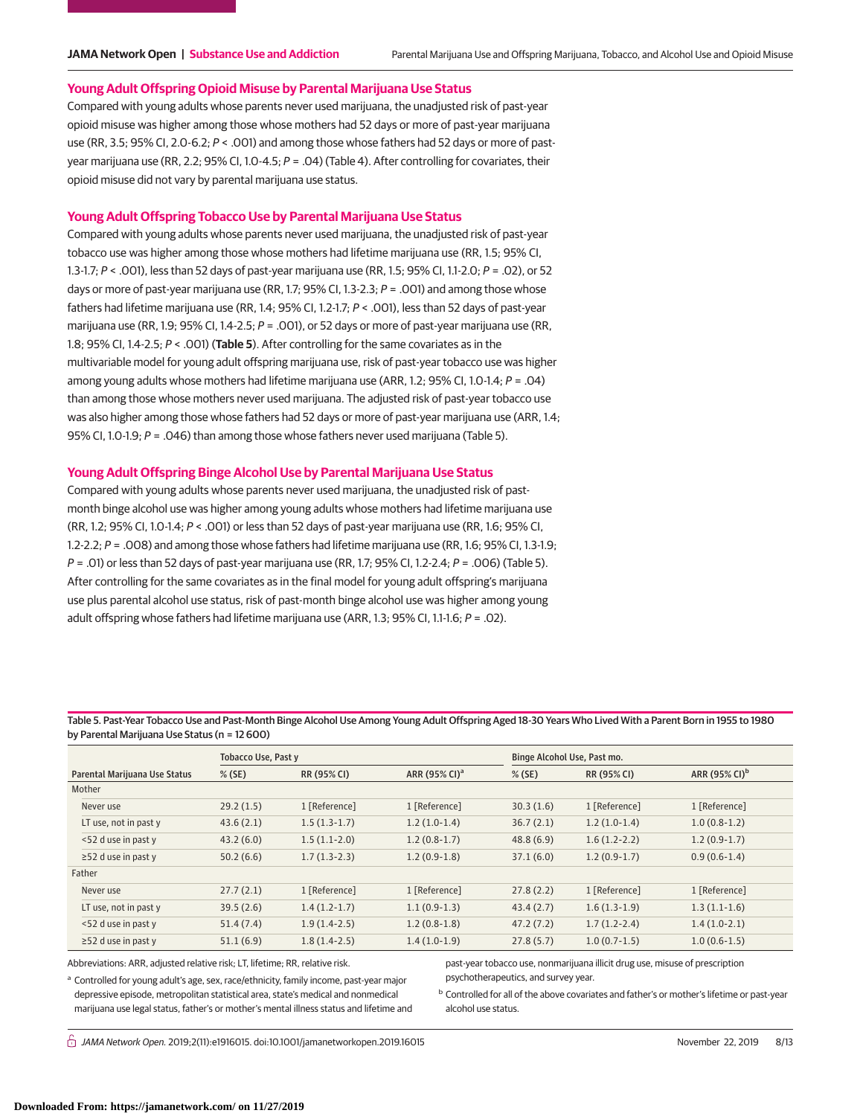#### **Young Adult Offspring Opioid Misuse by Parental Marijuana Use Status**

Compared with young adults whose parents never used marijuana, the unadjusted risk of past-year opioid misuse was higher among those whose mothers had 52 days or more of past-year marijuana use (RR, 3.5; 95% CI, 2.0-6.2; P < .001) and among those whose fathers had 52 days or more of pastyear marijuana use (RR, 2.2; 95% CI, 1.0-4.5;  $P = .04$ ) (Table 4). After controlling for covariates, their opioid misuse did not vary by parental marijuana use status.

### **Young Adult Offspring Tobacco Use by Parental Marijuana Use Status**

Compared with young adults whose parents never used marijuana, the unadjusted risk of past-year tobacco use was higher among those whose mothers had lifetime marijuana use (RR, 1.5; 95% CI, 1.3-1.7; P < .001), less than 52 days of past-year marijuana use (RR, 1.5; 95% CI, 1.1-2.0; P = .02), or 52 days or more of past-year marijuana use (RR, 1.7;  $95\%$  CI, 1.3-2.3;  $P = .001$ ) and among those whose fathers had lifetime marijuana use (RR, 1.4; 95% CI, 1.2-1.7; P < .001), less than 52 days of past-year marijuana use (RR, 1.9; 95% CI, 1.4-2.5;  $P = .001$ ), or 52 days or more of past-year marijuana use (RR, 1.8; 95% CI, 1.4-2.5; P < .001) (**Table 5**). After controlling for the same covariates as in the multivariable model for young adult offspring marijuana use, risk of past-year tobacco use was higher among young adults whose mothers had lifetime marijuana use (ARR, 1.2; 95% CI, 1.0-1.4;  $P = .04$ ) than among those whose mothers never used marijuana. The adjusted risk of past-year tobacco use was also higher among those whose fathers had 52 days or more of past-year marijuana use (ARR, 1.4; 95% CI, 1.0-1.9; P = .046) than among those whose fathers never used marijuana (Table 5).

#### **Young Adult Offspring Binge Alcohol Use by Parental Marijuana Use Status**

Compared with young adults whose parents never used marijuana, the unadjusted risk of pastmonth binge alcohol use was higher among young adults whose mothers had lifetime marijuana use (RR, 1.2; 95% CI, 1.0-1.4; P < .001) or less than 52 days of past-year marijuana use (RR, 1.6; 95% CI, 1.2-2.2;  $P = 0.008$ ) and among those whose fathers had lifetime marijuana use (RR, 1.6; 95% CI, 1.3-1.9; P = .01) or less than 52 days of past-year marijuana use (RR, 1.7; 95% CI, 1.2-2.4; P = .006) (Table 5). After controlling for the same covariates as in the final model for young adult offspring's marijuana use plus parental alcohol use status, risk of past-month binge alcohol use was higher among young adult offspring whose fathers had lifetime marijuana use (ARR, 1.3; 95% CI, 1.1-1.6;  $P = .02$ ).

Table 5. Past-Year Tobacco Use and Past-Month Binge Alcohol Use Among Young Adult Offspring Aged 18-30 Years Who Lived With a Parent Born in 1955 to 1980 by Parental Marijuana Use Status (n = 12 600)

|                               | Tobacco Use, Past y |                |                           | Binge Alcohol Use, Past mo. |                |                           |
|-------------------------------|---------------------|----------------|---------------------------|-----------------------------|----------------|---------------------------|
| Parental Marijuana Use Status | $%$ (SE)            | RR (95% CI)    | ARR (95% CI) <sup>a</sup> | $%$ (SE)                    | RR (95% CI)    | ARR (95% CI) <sup>b</sup> |
| Mother                        |                     |                |                           |                             |                |                           |
| Never use                     | 29.2(1.5)           | 1 [Reference]  | 1 [Reference]             | 30.3(1.6)                   | 1 [Reference]  | 1 [Reference]             |
| LT use, not in past y         | 43.6(2.1)           | $1.5(1.3-1.7)$ | $1.2(1.0-1.4)$            | 36.7(2.1)                   | $1.2(1.0-1.4)$ | $1.0(0.8-1.2)$            |
| $<$ 52 d use in past y        | 43.2(6.0)           | $1.5(1.1-2.0)$ | $1.2(0.8-1.7)$            | 48.8(6.9)                   | $1.6(1.2-2.2)$ | $1.2(0.9-1.7)$            |
| $\ge$ 52 d use in past y      | 50.2(6.6)           | $1.7(1.3-2.3)$ | $1.2(0.9-1.8)$            | 37.1(6.0)                   | $1.2(0.9-1.7)$ | $0.9(0.6-1.4)$            |
| Father                        |                     |                |                           |                             |                |                           |
| Never use                     | 27.7(2.1)           | 1 [Reference]  | 1 [Reference]             | 27.8(2.2)                   | 1 [Reference]  | 1 [Reference]             |
| LT use, not in past $y$       | 39.5(2.6)           | $1.4(1.2-1.7)$ | $1.1(0.9-1.3)$            | 43.4(2.7)                   | $1.6(1.3-1.9)$ | $1.3(1.1-1.6)$            |
| $<$ 52 d use in past y        | 51.4(7.4)           | $1.9(1.4-2.5)$ | $1.2(0.8-1.8)$            | 47.2(7.2)                   | $1.7(1.2-2.4)$ | $1.4(1.0-2.1)$            |
| $\ge$ 52 d use in past y      | 51.1(6.9)           | $1.8(1.4-2.5)$ | $1.4(1.0-1.9)$            | 27.8(5.7)                   | $1.0(0.7-1.5)$ | $1.0(0.6-1.5)$            |

Abbreviations: ARR, adjusted relative risk; LT, lifetime; RR, relative risk.

<sup>a</sup> Controlled for young adult's age, sex, race/ethnicity, family income, past-year major depressive episode, metropolitan statistical area, state's medical and nonmedical marijuana use legal status, father's or mother's mental illness status and lifetime and past-year tobacco use, nonmarijuana illicit drug use, misuse of prescription psychotherapeutics, and survey year.

<sup>b</sup> Controlled for all of the above covariates and father's or mother's lifetime or past-year alcohol use status.

 $\bigcap$  JAMA Network Open. 2019;2(11):e1916015. doi:10.1001/jamanetworkopen.2019.16015 (Reprinted) November 22, 2019 8/13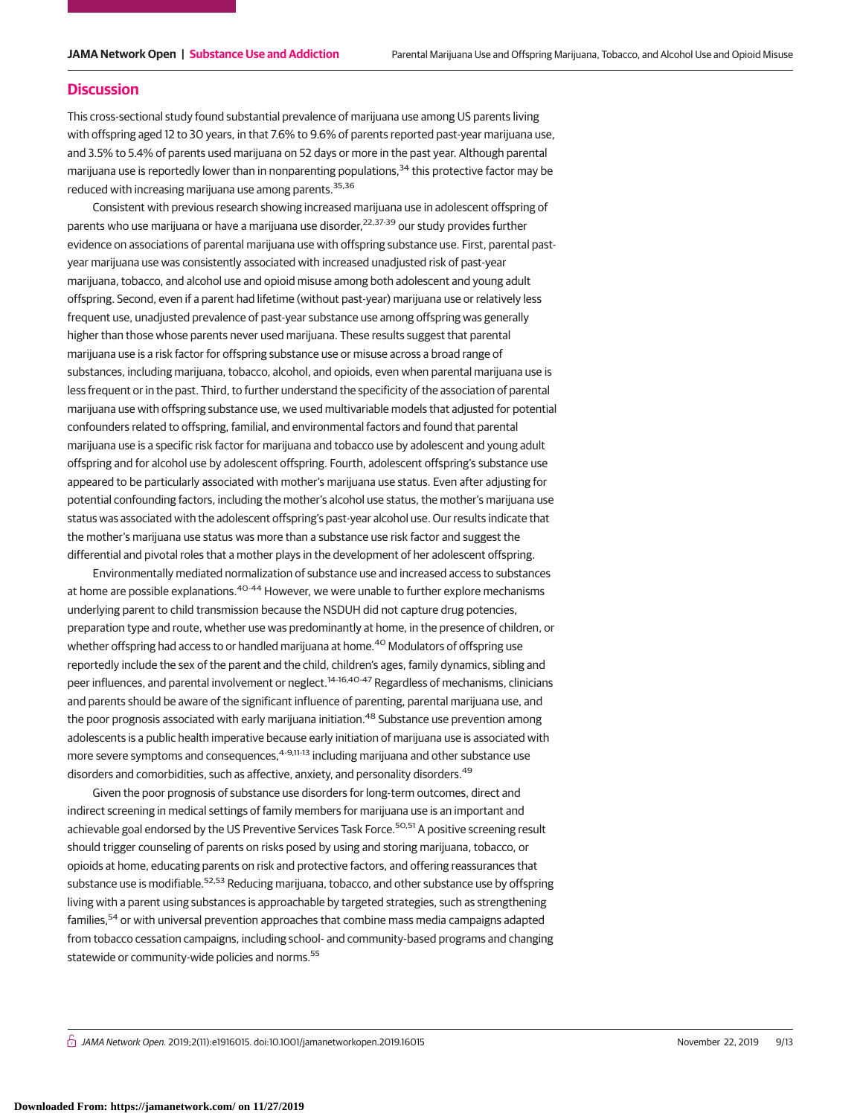#### **Discussion**

This cross-sectional study found substantial prevalence of marijuana use among US parents living with offspring aged 12 to 30 years, in that 7.6% to 9.6% of parents reported past-year marijuana use, and 3.5% to 5.4% of parents used marijuana on 52 days or more in the past year. Although parental marijuana use is reportedly lower than in nonparenting populations,<sup>34</sup> this protective factor may be reduced with increasing marijuana use among parents.<sup>35,36</sup>

Consistent with previous research showing increased marijuana use in adolescent offspring of parents who use marijuana or have a marijuana use disorder,<sup>22,37-39</sup> our study provides further evidence on associations of parental marijuana use with offspring substance use. First, parental pastyear marijuana use was consistently associated with increased unadjusted risk of past-year marijuana, tobacco, and alcohol use and opioid misuse among both adolescent and young adult offspring. Second, even if a parent had lifetime (without past-year) marijuana use or relatively less frequent use, unadjusted prevalence of past-year substance use among offspring was generally higher than those whose parents never used marijuana. These results suggest that parental marijuana use is a risk factor for offspring substance use or misuse across a broad range of substances, including marijuana, tobacco, alcohol, and opioids, even when parental marijuana use is less frequent or in the past. Third, to further understand the specificity of the association of parental marijuana use with offspring substance use, we used multivariable models that adjusted for potential confounders related to offspring, familial, and environmental factors and found that parental marijuana use is a specific risk factor for marijuana and tobacco use by adolescent and young adult offspring and for alcohol use by adolescent offspring. Fourth, adolescent offspring's substance use appeared to be particularly associated with mother's marijuana use status. Even after adjusting for potential confounding factors, including the mother's alcohol use status, the mother's marijuana use status was associated with the adolescent offspring's past-year alcohol use. Our results indicate that the mother's marijuana use status was more than a substance use risk factor and suggest the differential and pivotal roles that a mother plays in the development of her adolescent offspring.

Environmentally mediated normalization of substance use and increased access to substances at home are possible explanations.<sup>40-44</sup> However, we were unable to further explore mechanisms underlying parent to child transmission because the NSDUH did not capture drug potencies, preparation type and route, whether use was predominantly at home, in the presence of children, or whether offspring had access to or handled marijuana at home.<sup>40</sup> Modulators of offspring use reportedly include the sex of the parent and the child, children's ages, family dynamics, sibling and peer influences, and parental involvement or neglect.<sup>14-16,40-47</sup> Regardless of mechanisms, clinicians and parents should be aware of the significant influence of parenting, parental marijuana use, and the poor prognosis associated with early marijuana initiation.<sup>48</sup> Substance use prevention among adolescents is a public health imperative because early initiation of marijuana use is associated with more severe symptoms and consequences,  $4-9,11-13$  including marijuana and other substance use disorders and comorbidities, such as affective, anxiety, and personality disorders.<sup>49</sup>

Given the poor prognosis of substance use disorders for long-term outcomes, direct and indirect screening in medical settings of family members for marijuana use is an important and achievable goal endorsed by the US Preventive Services Task Force.<sup>50,51</sup> A positive screening result should trigger counseling of parents on risks posed by using and storing marijuana, tobacco, or opioids at home, educating parents on risk and protective factors, and offering reassurances that substance use is modifiable.<sup>52,53</sup> Reducing marijuana, tobacco, and other substance use by offspring living with a parent using substances is approachable by targeted strategies, such as strengthening families,<sup>54</sup> or with universal prevention approaches that combine mass media campaigns adapted from tobacco cessation campaigns, including school- and community-based programs and changing statewide or community-wide policies and norms.<sup>55</sup>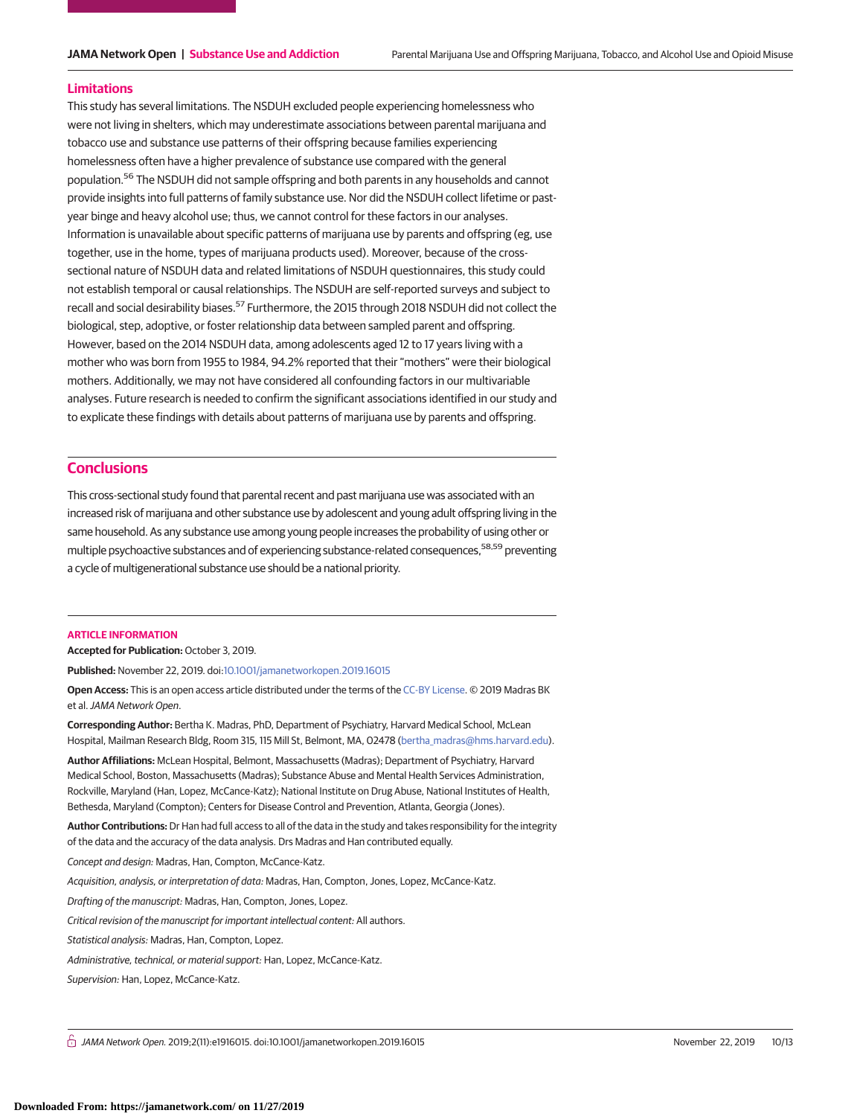#### **Limitations**

This study has several limitations. The NSDUH excluded people experiencing homelessness who were not living in shelters, which may underestimate associations between parental marijuana and tobacco use and substance use patterns of their offspring because families experiencing homelessness often have a higher prevalence of substance use compared with the general population.<sup>56</sup> The NSDUH did not sample offspring and both parents in any households and cannot provide insights into full patterns of family substance use. Nor did the NSDUH collect lifetime or pastyear binge and heavy alcohol use; thus, we cannot control for these factors in our analyses. Information is unavailable about specific patterns of marijuana use by parents and offspring (eg, use together, use in the home, types of marijuana products used). Moreover, because of the crosssectional nature of NSDUH data and related limitations of NSDUH questionnaires, this study could not establish temporal or causal relationships. The NSDUH are self-reported surveys and subject to recall and social desirability biases.<sup>57</sup> Furthermore, the 2015 through 2018 NSDUH did not collect the biological, step, adoptive, or foster relationship data between sampled parent and offspring. However, based on the 2014 NSDUH data, among adolescents aged 12 to 17 years living with a mother who was born from 1955 to 1984, 94.2% reported that their "mothers" were their biological mothers. Additionally, we may not have considered all confounding factors in our multivariable analyses. Future research is needed to confirm the significant associations identified in our study and to explicate these findings with details about patterns of marijuana use by parents and offspring.

# **Conclusions**

This cross-sectional study found that parental recent and past marijuana use was associated with an increased risk of marijuana and other substance use by adolescent and young adult offspring living in the same household. As any substance use among young people increases the probability of using other or multiple psychoactive substances and of experiencing substance-related consequences,<sup>58,59</sup> preventing a cycle of multigenerational substance use should be a national priority.

#### **ARTICLE INFORMATION**

**Accepted for Publication:** October 3, 2019.

**Published:** November 22, 2019. doi[:10.1001/jamanetworkopen.2019.16015](https://jama.jamanetwork.com/article.aspx?doi=10.1001/jamanetworkopen.2019.16015&utm_campaign=articlePDF%26utm_medium=articlePDFlink%26utm_source=articlePDF%26utm_content=jamanetworkopen.2019.16015)

**Open Access:** This is an open access article distributed under the terms of the [CC-BY License.](https://jamanetwork.com/journals/jamanetworkopen/pages/instructions-for-authors#SecOpenAccess/?utm_campaign=articlePDF%26utm_medium=articlePDFlink%26utm_source=articlePDF%26utm_content=jamanetworkopen.2019.16015) © 2019 Madras BK et al.JAMA Network Open.

**Corresponding Author:** Bertha K. Madras, PhD, Department of Psychiatry, Harvard Medical School, McLean Hospital, Mailman Research Bldg, Room 315, 115 Mill St, Belmont, MA, 02478 [\(bertha\\_madras@hms.harvard.edu\)](mailto:bertha_madras@hms.harvard.edu).

**Author Affiliations:** McLean Hospital, Belmont, Massachusetts (Madras); Department of Psychiatry, Harvard Medical School, Boston, Massachusetts (Madras); Substance Abuse and Mental Health Services Administration, Rockville, Maryland (Han, Lopez, McCance-Katz); National Institute on Drug Abuse, National Institutes of Health, Bethesda, Maryland (Compton); Centers for Disease Control and Prevention, Atlanta, Georgia (Jones).

**Author Contributions:** Dr Han had full access to all of the data in the study and takes responsibility for the integrity of the data and the accuracy of the data analysis. Drs Madras and Han contributed equally.

Concept and design: Madras, Han, Compton, McCance-Katz.

Acquisition, analysis, or interpretation of data: Madras, Han, Compton, Jones, Lopez, McCance-Katz.

Drafting of the manuscript: Madras, Han, Compton, Jones, Lopez.

Critical revision of the manuscript for important intellectual content: All authors.

Statistical analysis: Madras, Han, Compton, Lopez.

Administrative, technical, or material support: Han, Lopez, McCance-Katz.

Supervision: Han, Lopez, McCance-Katz.

 $\bigcap$  JAMA Network Open. 2019;2(11):e1916015. doi:10.1001/jamanetworkopen.2019.16015 (Reprinted) November 22, 2019 10/13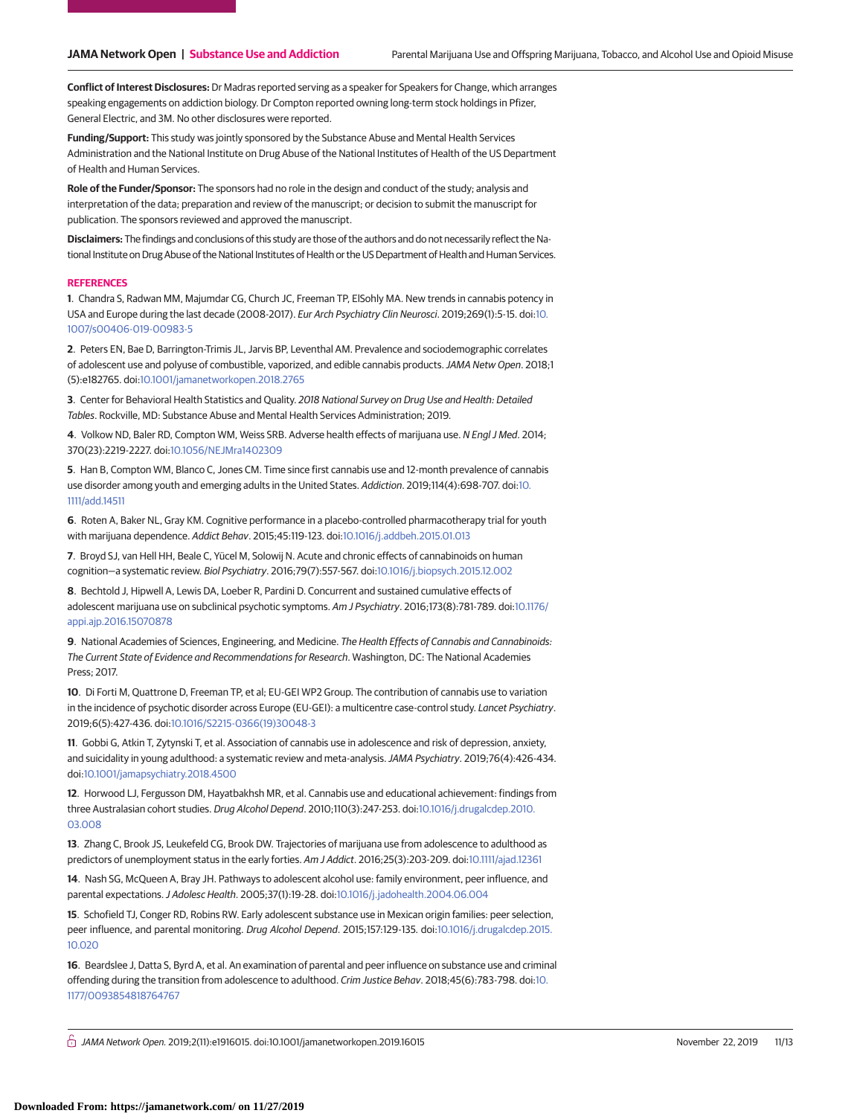**Conflict of Interest Disclosures:** Dr Madras reported serving as a speaker for Speakers for Change, which arranges speaking engagements on addiction biology. Dr Compton reported owning long-term stock holdings in Pfizer, General Electric, and 3M. No other disclosures were reported.

**Funding/Support:** This study was jointly sponsored by the Substance Abuse and Mental Health Services Administration and the National Institute on Drug Abuse of the National Institutes of Health of the US Department of Health and Human Services.

**Role of the Funder/Sponsor:** The sponsors had no role in the design and conduct of the study; analysis and interpretation of the data; preparation and review of the manuscript; or decision to submit the manuscript for publication. The sponsors reviewed and approved the manuscript.

**Disclaimers:** The findings and conclusions of this study are those of the authors and do not necessarily reflect the National Institute on Drug Abuse of the National Institutes of Health or the US Department of Health and Human Services.

#### **REFERENCES**

**1**. Chandra S, Radwan MM, Majumdar CG, Church JC, Freeman TP, ElSohly MA. New trends in cannabis potency in USA and Europe during the last decade (2008-2017). Eur Arch Psychiatry Clin Neurosci. 2019;269(1):5-15. doi[:10.](https://dx.doi.org/10.1007/s00406-019-00983-5) [1007/s00406-019-00983-5](https://dx.doi.org/10.1007/s00406-019-00983-5)

**2**. Peters EN, Bae D, Barrington-Trimis JL, Jarvis BP, Leventhal AM. Prevalence and sociodemographic correlates of adolescent use and polyuse of combustible, vaporized, and edible cannabis products. JAMA Netw Open. 2018;1 (5):e182765. doi[:10.1001/jamanetworkopen.2018.2765](https://jama.jamanetwork.com/article.aspx?doi=10.1001/jamanetworkopen.2018.2765&utm_campaign=articlePDF%26utm_medium=articlePDFlink%26utm_source=articlePDF%26utm_content=jamanetworkopen.2019.16015)

**3**. Center for Behavioral Health Statistics and Quality. 2018 National Survey on Drug Use and Health: Detailed Tables. Rockville, MD: Substance Abuse and Mental Health Services Administration; 2019.

**4**. Volkow ND, Baler RD, Compton WM, Weiss SRB. Adverse health effects of marijuana use. N Engl J Med. 2014; 370(23):2219-2227. doi[:10.1056/NEJMra1402309](https://dx.doi.org/10.1056/NEJMra1402309)

**5**. Han B, Compton WM, Blanco C, Jones CM. Time since first cannabis use and 12-month prevalence of cannabis use disorder among youth and emerging adults in the United States. Addiction. 2019;114(4):698-707. doi[:10.](https://dx.doi.org/10.1111/add.14511) [1111/add.14511](https://dx.doi.org/10.1111/add.14511)

**6**. Roten A, Baker NL, Gray KM. Cognitive performance in a placebo-controlled pharmacotherapy trial for youth with marijuana dependence. Addict Behav. 2015;45:119-123. doi[:10.1016/j.addbeh.2015.01.013](https://dx.doi.org/10.1016/j.addbeh.2015.01.013)

**7**. Broyd SJ, van Hell HH, Beale C, Yücel M, Solowij N. Acute and chronic effects of cannabinoids on human cognition—a systematic review. Biol Psychiatry. 2016;79(7):557-567. doi[:10.1016/j.biopsych.2015.12.002](https://dx.doi.org/10.1016/j.biopsych.2015.12.002)

**8**. Bechtold J, Hipwell A, Lewis DA, Loeber R, Pardini D. Concurrent and sustained cumulative effects of adolescent marijuana use on subclinical psychotic symptoms. Am J Psychiatry. 2016;173(8):781-789. doi[:10.1176/](https://dx.doi.org/10.1176/appi.ajp.2016.15070878) [appi.ajp.2016.15070878](https://dx.doi.org/10.1176/appi.ajp.2016.15070878)

**9**. National Academies of Sciences, Engineering, and Medicine. The Health Effects of Cannabis and Cannabinoids: The Current State of Evidence and Recommendations for Research. Washington, DC: The National Academies Press; 2017.

**10**. Di Forti M, Quattrone D, Freeman TP, et al; EU-GEI WP2 Group. The contribution of cannabis use to variation in the incidence of psychotic disorder across Europe (EU-GEI): a multicentre case-control study. Lancet Psychiatry. 2019;6(5):427-436. doi[:10.1016/S2215-0366\(19\)30048-3](https://dx.doi.org/10.1016/S2215-0366(19)30048-3)

**11**. Gobbi G, Atkin T, Zytynski T, et al. Association of cannabis use in adolescence and risk of depression, anxiety, and suicidality in young adulthood: a systematic review and meta-analysis.JAMA Psychiatry. 2019;76(4):426-434. doi[:10.1001/jamapsychiatry.2018.4500](https://jama.jamanetwork.com/article.aspx?doi=10.1001/jamapsychiatry.2018.4500&utm_campaign=articlePDF%26utm_medium=articlePDFlink%26utm_source=articlePDF%26utm_content=jamanetworkopen.2019.16015)

**12**. Horwood LJ, Fergusson DM, Hayatbakhsh MR, et al. Cannabis use and educational achievement: findings from three Australasian cohort studies. Drug Alcohol Depend. 2010;110(3):247-253. doi[:10.1016/j.drugalcdep.2010.](https://dx.doi.org/10.1016/j.drugalcdep.2010.03.008) [03.008](https://dx.doi.org/10.1016/j.drugalcdep.2010.03.008)

**13**. Zhang C, Brook JS, Leukefeld CG, Brook DW. Trajectories of marijuana use from adolescence to adulthood as predictors of unemployment status in the early forties. Am J Addict. 2016;25(3):203-209. doi[:10.1111/ajad.12361](https://dx.doi.org/10.1111/ajad.12361)

**14**. Nash SG, McQueen A, Bray JH. Pathways to adolescent alcohol use: family environment, peer influence, and parental expectations.J Adolesc Health. 2005;37(1):19-28. doi[:10.1016/j.jadohealth.2004.06.004](https://dx.doi.org/10.1016/j.jadohealth.2004.06.004)

**15**. Schofield TJ, Conger RD, Robins RW. Early adolescent substance use in Mexican origin families: peer selection, peer influence, and parental monitoring. Drug Alcohol Depend. 2015;157:129-135. doi[:10.1016/j.drugalcdep.2015.](https://dx.doi.org/10.1016/j.drugalcdep.2015.10.020) [10.020](https://dx.doi.org/10.1016/j.drugalcdep.2015.10.020)

**16**. Beardslee J, Datta S, Byrd A, et al. An examination of parental and peer influence on substance use and criminal offending during the transition from adolescence to adulthood. Crim Justice Behav. 2018;45(6):783-798. doi[:10.](https://dx.doi.org/10.1177/0093854818764767) [1177/0093854818764767](https://dx.doi.org/10.1177/0093854818764767)

 $\bigcap_{i=1}^n$  JAMA Network Open. 2019;2(11):e1916015. doi:10.1001/jamanetworkopen.2019.16015 (Reprinted) November 22, 2019 11/13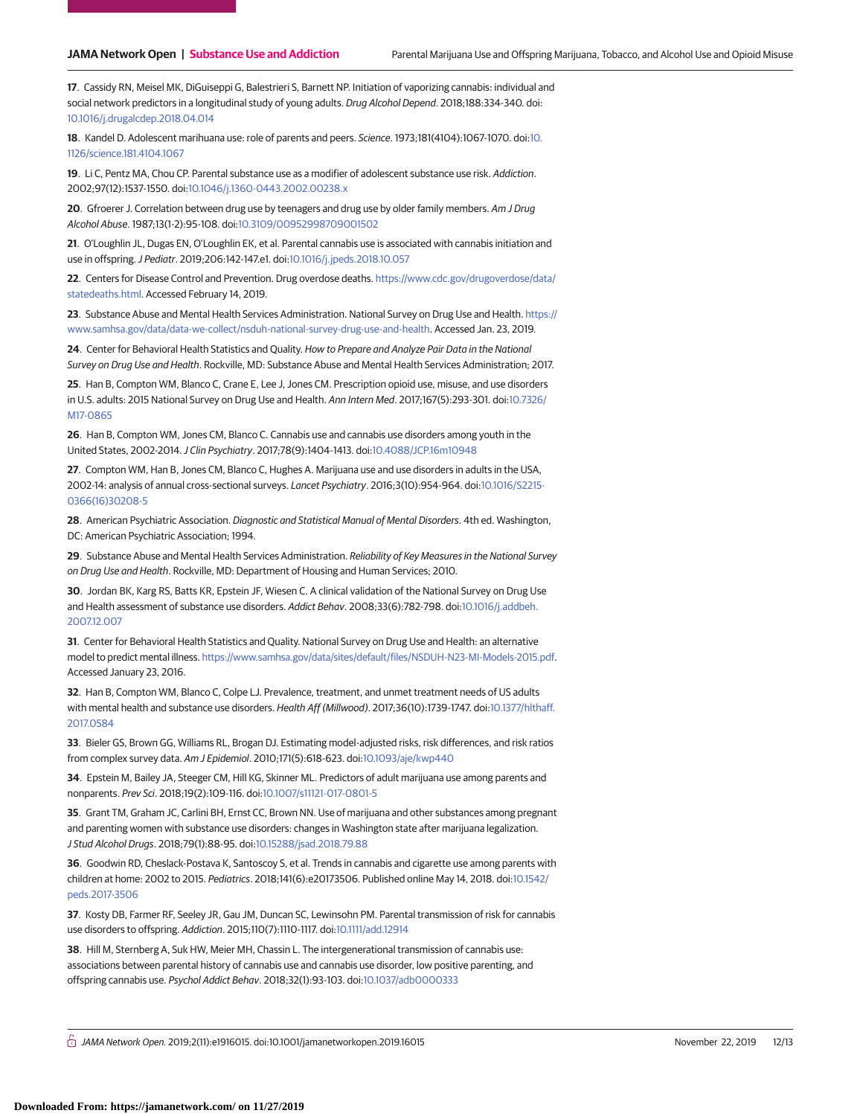**17**. Cassidy RN, Meisel MK, DiGuiseppi G, Balestrieri S, Barnett NP. Initiation of vaporizing cannabis: individual and social network predictors in a longitudinal study of young adults. Drug Alcohol Depend. 2018;188:334-340. doi: [10.1016/j.drugalcdep.2018.04.014](https://dx.doi.org/10.1016/j.drugalcdep.2018.04.014)

**18**. Kandel D. Adolescent marihuana use: role of parents and peers. Science. 1973;181(4104):1067-1070. doi[:10.](https://dx.doi.org/10.1126/science.181.4104.1067) [1126/science.181.4104.1067](https://dx.doi.org/10.1126/science.181.4104.1067)

**19**. Li C, Pentz MA, Chou CP. Parental substance use as a modifier of adolescent substance use risk. Addiction. 2002;97(12):1537-1550. doi[:10.1046/j.1360-0443.2002.00238.x](https://dx.doi.org/10.1046/j.1360-0443.2002.00238.x)

**20**. Gfroerer J. Correlation between drug use by teenagers and drug use by older family members. Am J Drug Alcohol Abuse. 1987;13(1-2):95-108. doi[:10.3109/00952998709001502](https://dx.doi.org/10.3109/00952998709001502)

**21**. O'Loughlin JL, Dugas EN, O'Loughlin EK, et al. Parental cannabis use is associated with cannabis initiation and use in offspring.J Pediatr. 2019;206:142-147.e1. doi[:10.1016/j.jpeds.2018.10.057](https://dx.doi.org/10.1016/j.jpeds.2018.10.057)

**22**. Centers for Disease Control and Prevention. Drug overdose deaths. [https://www.cdc.gov/drugoverdose/data/](https://www.cdc.gov/drugoverdose/data/statedeaths.html) [statedeaths.html.](https://www.cdc.gov/drugoverdose/data/statedeaths.html) Accessed February 14, 2019.

**23**. Substance Abuse and Mental Health Services Administration. National Survey on Drug Use and Health. [https://](https://www.samhsa.gov/data/data-we-collect/nsduh-national-survey-drug-use-and-health) [www.samhsa.gov/data/data-we-collect/nsduh-national-survey-drug-use-and-health.](https://www.samhsa.gov/data/data-we-collect/nsduh-national-survey-drug-use-and-health) Accessed Jan. 23, 2019.

**24**. Center for Behavioral Health Statistics and Quality. How to Prepare and Analyze Pair Data in the National Survey on Drug Use and Health. Rockville, MD: Substance Abuse and Mental Health Services Administration; 2017.

**25**. Han B, Compton WM, Blanco C, Crane E, Lee J, Jones CM. Prescription opioid use, misuse, and use disorders in U.S. adults: 2015 National Survey on Drug Use and Health. Ann Intern Med. 2017;167(5):293-301. doi[:10.7326/](https://dx.doi.org/10.7326/M17-0865) [M17-0865](https://dx.doi.org/10.7326/M17-0865)

**26**. Han B, Compton WM, Jones CM, Blanco C. Cannabis use and cannabis use disorders among youth in the United States, 2002-2014.J Clin Psychiatry. 2017;78(9):1404-1413. doi[:10.4088/JCP.16m10948](https://dx.doi.org/10.4088/JCP.16m10948)

**27**. Compton WM, Han B, Jones CM, Blanco C, Hughes A. Marijuana use and use disorders in adults in the USA, 2002-14: analysis of annual cross-sectional surveys. Lancet Psychiatry. 2016;3(10):954-964. doi[:10.1016/S2215-](https://dx.doi.org/10.1016/S2215-0366(16)30208-5) [0366\(16\)30208-5](https://dx.doi.org/10.1016/S2215-0366(16)30208-5)

**28**. American Psychiatric Association. Diagnostic and Statistical Manual of Mental Disorders. 4th ed. Washington, DC: American Psychiatric Association; 1994.

**29**. Substance Abuse and Mental Health Services Administration. Reliability of Key Measures in the National Survey on Drug Use and Health. Rockville, MD: Department of Housing and Human Services; 2010.

**30**. Jordan BK, Karg RS, Batts KR, Epstein JF, Wiesen C. A clinical validation of the National Survey on Drug Use and Health assessment of substance use disorders. Addict Behav. 2008;33(6):782-798. doi[:10.1016/j.addbeh.](https://dx.doi.org/10.1016/j.addbeh.2007.12.007) [2007.12.007](https://dx.doi.org/10.1016/j.addbeh.2007.12.007)

**31**. Center for Behavioral Health Statistics and Quality. National Survey on Drug Use and Health: an alternative model to predict mental illness. [https://www.samhsa.gov/data/sites/default/files/NSDUH-N23-MI-Models-2015.pdf.](https://www.samhsa.gov/data/sites/default/files/NSDUH-N23-MI-Models-2015.pdf) Accessed January 23, 2016.

**32**. Han B, Compton WM, Blanco C, Colpe LJ. Prevalence, treatment, and unmet treatment needs of US adults with mental health and substance use disorders. Health Aff (Millwood). 2017;36(10):1739-1747. doi[:10.1377/hlthaff.](https://dx.doi.org/10.1377/hlthaff.2017.0584) [2017.0584](https://dx.doi.org/10.1377/hlthaff.2017.0584)

**33**. Bieler GS, Brown GG, Williams RL, Brogan DJ. Estimating model-adjusted risks, risk differences, and risk ratios from complex survey data. Am J Epidemiol. 2010;171(5):618-623. doi[:10.1093/aje/kwp440](https://dx.doi.org/10.1093/aje/kwp440)

**34**. Epstein M, Bailey JA, Steeger CM, Hill KG, Skinner ML. Predictors of adult marijuana use among parents and nonparents. Prev Sci. 2018;19(2):109-116. doi[:10.1007/s11121-017-0801-5](https://dx.doi.org/10.1007/s11121-017-0801-5)

**35**. Grant TM, Graham JC, Carlini BH, Ernst CC, Brown NN. Use of marijuana and other substances among pregnant and parenting women with substance use disorders: changes in Washington state after marijuana legalization. J Stud Alcohol Drugs. 2018;79(1):88-95. doi[:10.15288/jsad.2018.79.88](https://dx.doi.org/10.15288/jsad.2018.79.88)

**36**. Goodwin RD, Cheslack-Postava K, Santoscoy S, et al. Trends in cannabis and cigarette use among parents with children at home: 2002 to 2015. Pediatrics. 2018;141(6):e20173506. Published online May 14, 2018. doi[:10.1542/](https://dx.doi.org/10.1542/peds.2017-3506) [peds.2017-3506](https://dx.doi.org/10.1542/peds.2017-3506)

**37**. Kosty DB, Farmer RF, Seeley JR, Gau JM, Duncan SC, Lewinsohn PM. Parental transmission of risk for cannabis use disorders to offspring. Addiction. 2015;110(7):1110-1117. doi[:10.1111/add.12914](https://dx.doi.org/10.1111/add.12914)

**38**. Hill M, Sternberg A, Suk HW, Meier MH, Chassin L. The intergenerational transmission of cannabis use: associations between parental history of cannabis use and cannabis use disorder, low positive parenting, and offspring cannabis use. Psychol Addict Behav. 2018;32(1):93-103. doi[:10.1037/adb0000333](https://dx.doi.org/10.1037/adb0000333)

 $\stackrel{\curvearrowright}{\cap}$  JAMA Network Open. 2019;2(11):e1916015. doi:10.1001/jamanetworkopen.2019.16015 (Reprinted) November 22, 2019 12/13